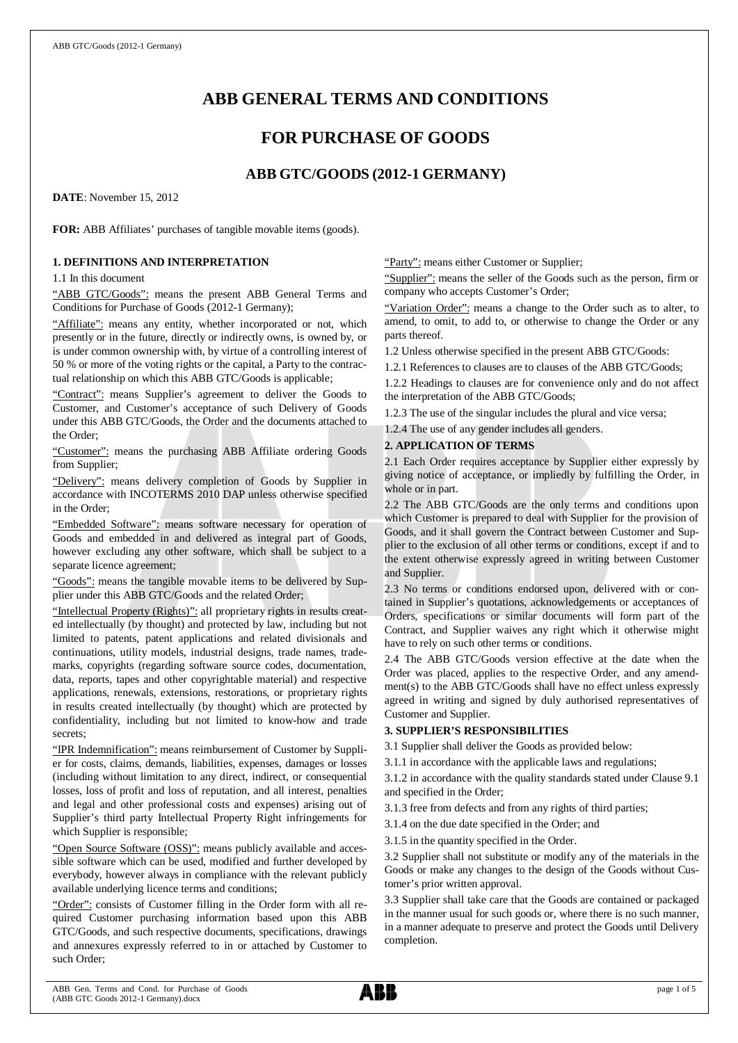# **ABB GENERAL TERMS AND CONDITIONS**

## **FOR PURCHASE OF GOODS**

## **ABB GTC/GOODS (2012-1 GERMANY)**

**DATE**: November 15, 2012

**FOR:** ABB Affiliates' purchases of tangible movable items (goods).

## **1. DEFINITIONS AND INTERPRETATION**

1.1 In this document

"ABB GTC/Goods": means the present ABB General Terms and Conditions for Purchase of Goods (2012-1 Germany);

"Affiliate": means any entity, whether incorporated or not, which presently or in the future, directly or indirectly owns, is owned by, or is under common ownership with, by virtue of a controlling interest of 50 % or more of the voting rights or the capital, a Party to the contractual relationship on which this ABB GTC/Goods is applicable;

"Contract": means Supplier's agreement to deliver the Goods to Customer, and Customer's acceptance of such Delivery of Goods under this ABB GTC/Goods, the Order and the documents attached to the Order;

"Customer": means the purchasing ABB Affiliate ordering Goods from Supplier;

"Delivery": means delivery completion of Goods by Supplier in accordance with INCOTERMS 2010 DAP unless otherwise specified in the Order;

"Embedded Software": means software necessary for operation of Goods and embedded in and delivered as integral part of Goods, however excluding any other software, which shall be subject to a separate licence agreement;

"Goods": means the tangible movable items to be delivered by Supplier under this ABB GTC/Goods and the related Order;

"Intellectual Property (Rights)": all proprietary rights in results created intellectually (by thought) and protected by law, including but not limited to patents, patent applications and related divisionals and continuations, utility models, industrial designs, trade names, trademarks, copyrights (regarding software source codes, documentation, data, reports, tapes and other copyrightable material) and respective applications, renewals, extensions, restorations, or proprietary rights in results created intellectually (by thought) which are protected by confidentiality, including but not limited to know-how and trade secrets;

"IPR Indemnification": means reimbursement of Customer by Supplier for costs, claims, demands, liabilities, expenses, damages or losses (including without limitation to any direct, indirect, or consequential losses, loss of profit and loss of reputation, and all interest, penalties and legal and other professional costs and expenses) arising out of Supplier's third party Intellectual Property Right infringements for which Supplier is responsible;

"Open Source Software (OSS)": means publicly available and accessible software which can be used, modified and further developed by everybody, however always in compliance with the relevant publicly available underlying licence terms and conditions;

"Order": consists of Customer filling in the Order form with all required Customer purchasing information based upon this ABB GTC/Goods, and such respective documents, specifications, drawings and annexures expressly referred to in or attached by Customer to such Order;

"Party": means either Customer or Supplier;

"Supplier": means the seller of the Goods such as the person, firm or company who accepts Customer's Order;

"Variation Order": means a change to the Order such as to alter, to amend, to omit, to add to, or otherwise to change the Order or any parts thereof.

1.2 Unless otherwise specified in the present ABB GTC/Goods:

1.2.1 References to clauses are to clauses of the ABB GTC/Goods;

1.2.2 Headings to clauses are for convenience only and do not affect the interpretation of the ABB GTC/Goods;

1.2.3 The use of the singular includes the plural and vice versa;

1.2.4 The use of any gender includes all genders.

#### **2. APPLICATION OF TERMS**

2.1 Each Order requires acceptance by Supplier either expressly by giving notice of acceptance, or impliedly by fulfilling the Order, in whole or in part.

2.2 The ABB GTC/Goods are the only terms and conditions upon which Customer is prepared to deal with Supplier for the provision of Goods, and it shall govern the Contract between Customer and Supplier to the exclusion of all other terms or conditions, except if and to the extent otherwise expressly agreed in writing between Customer and Supplier.

2.3 No terms or conditions endorsed upon, delivered with or contained in Supplier's quotations, acknowledgements or acceptances of Orders, specifications or similar documents will form part of the Contract, and Supplier waives any right which it otherwise might have to rely on such other terms or conditions.

2.4 The ABB GTC/Goods version effective at the date when the Order was placed, applies to the respective Order, and any amendment(s) to the ABB GTC/Goods shall have no effect unless expressly agreed in writing and signed by duly authorised representatives of Customer and Supplier.

## **3. SUPPLIER'S RESPONSIBILITIES**

3.1 Supplier shall deliver the Goods as provided below:

3.1.1 in accordance with the applicable laws and regulations;

3.1.2 in accordance with the quality standards stated under Clause 9.1 and specified in the Order;

3.1.3 free from defects and from any rights of third parties;

3.1.4 on the due date specified in the Order; and

3.1.5 in the quantity specified in the Order.

3.2 Supplier shall not substitute or modify any of the materials in the Goods or make any changes to the design of the Goods without Customer's prior written approval.

3.3 Supplier shall take care that the Goods are contained or packaged in the manner usual for such goods or, where there is no such manner, in a manner adequate to preserve and protect the Goods until Delivery completion.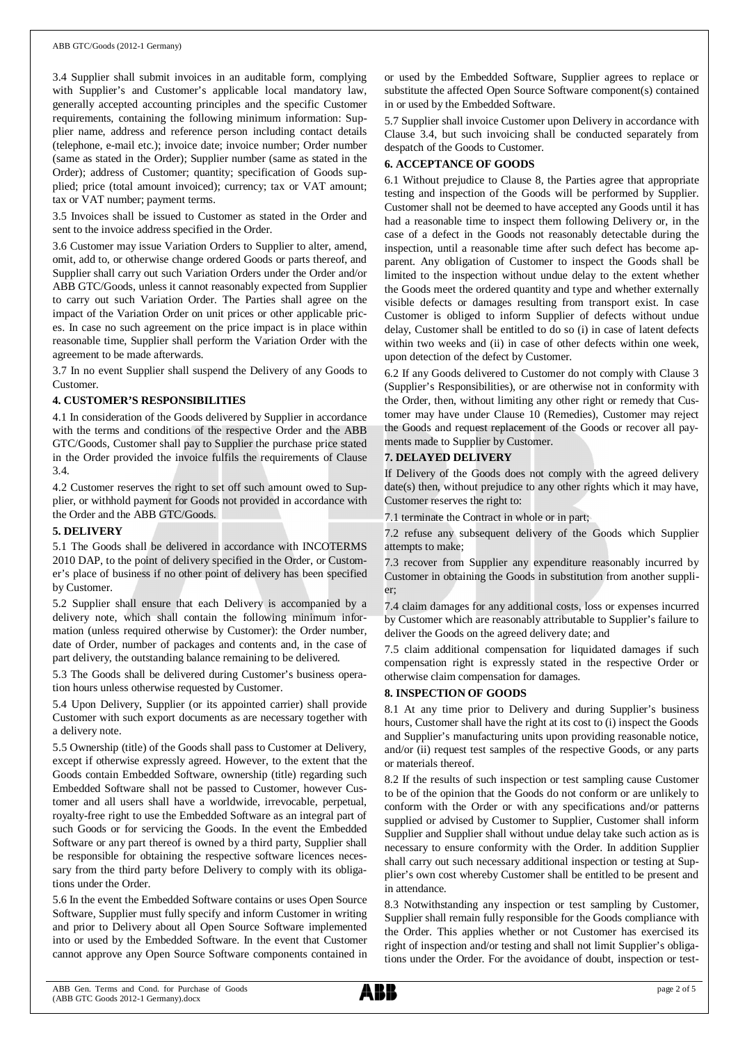3.4 Supplier shall submit invoices in an auditable form, complying with Supplier's and Customer's applicable local mandatory law, generally accepted accounting principles and the specific Customer requirements, containing the following minimum information: Supplier name, address and reference person including contact details (telephone, e-mail etc.); invoice date; invoice number; Order number (same as stated in the Order); Supplier number (same as stated in the Order); address of Customer; quantity; specification of Goods supplied; price (total amount invoiced); currency; tax or VAT amount; tax or VAT number; payment terms.

3.5 Invoices shall be issued to Customer as stated in the Order and sent to the invoice address specified in the Order.

3.6 Customer may issue Variation Orders to Supplier to alter, amend, omit, add to, or otherwise change ordered Goods or parts thereof, and Supplier shall carry out such Variation Orders under the Order and/or ABB GTC/Goods, unless it cannot reasonably expected from Supplier to carry out such Variation Order. The Parties shall agree on the impact of the Variation Order on unit prices or other applicable prices. In case no such agreement on the price impact is in place within reasonable time, Supplier shall perform the Variation Order with the agreement to be made afterwards.

3.7 In no event Supplier shall suspend the Delivery of any Goods to Customer.

## **4. CUSTOMER'S RESPONSIBILITIES**

4.1 In consideration of the Goods delivered by Supplier in accordance with the terms and conditions of the respective Order and the ABB GTC/Goods, Customer shall pay to Supplier the purchase price stated in the Order provided the invoice fulfils the requirements of Clause 3.4.

4.2 Customer reserves the right to set off such amount owed to Supplier, or withhold payment for Goods not provided in accordance with the Order and the ABB GTC/Goods.

#### **5. DELIVERY**

5.1 The Goods shall be delivered in accordance with INCOTERMS 2010 DAP, to the point of delivery specified in the Order, or Customer's place of business if no other point of delivery has been specified by Customer.

5.2 Supplier shall ensure that each Delivery is accompanied by a delivery note, which shall contain the following minimum information (unless required otherwise by Customer): the Order number, date of Order, number of packages and contents and, in the case of part delivery, the outstanding balance remaining to be delivered.

5.3 The Goods shall be delivered during Customer's business operation hours unless otherwise requested by Customer.

5.4 Upon Delivery, Supplier (or its appointed carrier) shall provide Customer with such export documents as are necessary together with a delivery note.

5.5 Ownership (title) of the Goods shall pass to Customer at Delivery, except if otherwise expressly agreed. However, to the extent that the Goods contain Embedded Software, ownership (title) regarding such Embedded Software shall not be passed to Customer, however Customer and all users shall have a worldwide, irrevocable, perpetual, royalty-free right to use the Embedded Software as an integral part of such Goods or for servicing the Goods. In the event the Embedded Software or any part thereof is owned by a third party, Supplier shall be responsible for obtaining the respective software licences necessary from the third party before Delivery to comply with its obligations under the Order.

5.6 In the event the Embedded Software contains or uses Open Source Software, Supplier must fully specify and inform Customer in writing and prior to Delivery about all Open Source Software implemented into or used by the Embedded Software. In the event that Customer cannot approve any Open Source Software components contained in or used by the Embedded Software, Supplier agrees to replace or substitute the affected Open Source Software component(s) contained in or used by the Embedded Software.

5.7 Supplier shall invoice Customer upon Delivery in accordance with Clause 3.4, but such invoicing shall be conducted separately from despatch of the Goods to Customer.

## **6. ACCEPTANCE OF GOODS**

6.1 Without prejudice to Clause 8, the Parties agree that appropriate testing and inspection of the Goods will be performed by Supplier. Customer shall not be deemed to have accepted any Goods until it has had a reasonable time to inspect them following Delivery or, in the case of a defect in the Goods not reasonably detectable during the inspection, until a reasonable time after such defect has become apparent. Any obligation of Customer to inspect the Goods shall be limited to the inspection without undue delay to the extent whether the Goods meet the ordered quantity and type and whether externally visible defects or damages resulting from transport exist. In case Customer is obliged to inform Supplier of defects without undue delay, Customer shall be entitled to do so (i) in case of latent defects within two weeks and (ii) in case of other defects within one week, upon detection of the defect by Customer.

6.2 If any Goods delivered to Customer do not comply with Clause 3 (Supplier's Responsibilities), or are otherwise not in conformity with the Order, then, without limiting any other right or remedy that Customer may have under Clause 10 (Remedies), Customer may reject the Goods and request replacement of the Goods or recover all payments made to Supplier by Customer.

## **7. DELAYED DELIVERY**

If Delivery of the Goods does not comply with the agreed delivery date(s) then, without prejudice to any other rights which it may have, Customer reserves the right to:

7.1 terminate the Contract in whole or in part;

7.2 refuse any subsequent delivery of the Goods which Supplier attempts to make;

7.3 recover from Supplier any expenditure reasonably incurred by Customer in obtaining the Goods in substitution from another supplier;

7.4 claim damages for any additional costs, loss or expenses incurred by Customer which are reasonably attributable to Supplier's failure to deliver the Goods on the agreed delivery date; and

7.5 claim additional compensation for liquidated damages if such compensation right is expressly stated in the respective Order or otherwise claim compensation for damages.

#### **8. INSPECTION OF GOODS**

8.1 At any time prior to Delivery and during Supplier's business hours, Customer shall have the right at its cost to (i) inspect the Goods and Supplier's manufacturing units upon providing reasonable notice, and/or (ii) request test samples of the respective Goods, or any parts or materials thereof.

8.2 If the results of such inspection or test sampling cause Customer to be of the opinion that the Goods do not conform or are unlikely to conform with the Order or with any specifications and/or patterns supplied or advised by Customer to Supplier, Customer shall inform Supplier and Supplier shall without undue delay take such action as is necessary to ensure conformity with the Order. In addition Supplier shall carry out such necessary additional inspection or testing at Supplier's own cost whereby Customer shall be entitled to be present and in attendance.

8.3 Notwithstanding any inspection or test sampling by Customer, Supplier shall remain fully responsible for the Goods compliance with the Order. This applies whether or not Customer has exercised its right of inspection and/or testing and shall not limit Supplier's obligations under the Order. For the avoidance of doubt, inspection or test-

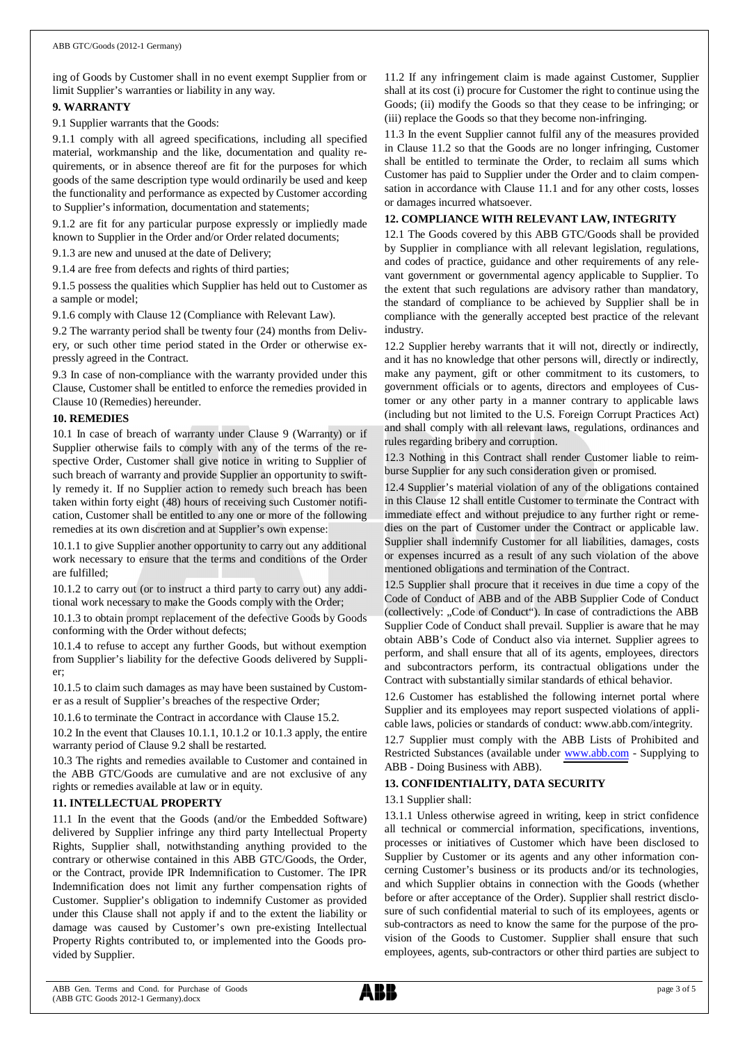ing of Goods by Customer shall in no event exempt Supplier from or limit Supplier's warranties or liability in any way.

### **9. WARRANTY**

9.1 Supplier warrants that the Goods:

9.1.1 comply with all agreed specifications, including all specified material, workmanship and the like, documentation and quality requirements, or in absence thereof are fit for the purposes for which goods of the same description type would ordinarily be used and keep the functionality and performance as expected by Customer according to Supplier's information, documentation and statements;

9.1.2 are fit for any particular purpose expressly or impliedly made known to Supplier in the Order and/or Order related documents;

9.1.3 are new and unused at the date of Delivery;

9.1.4 are free from defects and rights of third parties;

9.1.5 possess the qualities which Supplier has held out to Customer as a sample or model;

9.1.6 comply with Clause 12 (Compliance with Relevant Law).

9.2 The warranty period shall be twenty four (24) months from Delivery, or such other time period stated in the Order or otherwise expressly agreed in the Contract.

9.3 In case of non-compliance with the warranty provided under this Clause, Customer shall be entitled to enforce the remedies provided in Clause 10 (Remedies) hereunder.

#### **10. REMEDIES**

10.1 In case of breach of warranty under Clause 9 (Warranty) or if Supplier otherwise fails to comply with any of the terms of the respective Order, Customer shall give notice in writing to Supplier of such breach of warranty and provide Supplier an opportunity to swiftly remedy it. If no Supplier action to remedy such breach has been taken within forty eight (48) hours of receiving such Customer notification, Customer shall be entitled to any one or more of the following remedies at its own discretion and at Supplier's own expense:

10.1.1 to give Supplier another opportunity to carry out any additional work necessary to ensure that the terms and conditions of the Order are fulfilled;

10.1.2 to carry out (or to instruct a third party to carry out) any additional work necessary to make the Goods comply with the Order;

10.1.3 to obtain prompt replacement of the defective Goods by Goods conforming with the Order without defects;

10.1.4 to refuse to accept any further Goods, but without exemption from Supplier's liability for the defective Goods delivered by Supplier;

10.1.5 to claim such damages as may have been sustained by Customer as a result of Supplier's breaches of the respective Order;

10.1.6 to terminate the Contract in accordance with Clause 15.2.

10.2 In the event that Clauses 10.1.1, 10.1.2 or 10.1.3 apply, the entire warranty period of Clause 9.2 shall be restarted.

10.3 The rights and remedies available to Customer and contained in the ABB GTC/Goods are cumulative and are not exclusive of any rights or remedies available at law or in equity.

## **11. INTELLECTUAL PROPERTY**

11.1 In the event that the Goods (and/or the Embedded Software) delivered by Supplier infringe any third party Intellectual Property Rights, Supplier shall, notwithstanding anything provided to the contrary or otherwise contained in this ABB GTC/Goods, the Order, or the Contract, provide IPR Indemnification to Customer. The IPR Indemnification does not limit any further compensation rights of Customer. Supplier's obligation to indemnify Customer as provided under this Clause shall not apply if and to the extent the liability or damage was caused by Customer's own pre-existing Intellectual Property Rights contributed to, or implemented into the Goods provided by Supplier.

11.2 If any infringement claim is made against Customer, Supplier shall at its cost (i) procure for Customer the right to continue using the Goods; (ii) modify the Goods so that they cease to be infringing; or (iii) replace the Goods so that they become non-infringing.

11.3 In the event Supplier cannot fulfil any of the measures provided in Clause 11.2 so that the Goods are no longer infringing, Customer shall be entitled to terminate the Order, to reclaim all sums which Customer has paid to Supplier under the Order and to claim compensation in accordance with Clause 11.1 and for any other costs, losses or damages incurred whatsoever.

#### **12. COMPLIANCE WITH RELEVANT LAW, INTEGRITY**

12.1 The Goods covered by this ABB GTC/Goods shall be provided by Supplier in compliance with all relevant legislation, regulations, and codes of practice, guidance and other requirements of any relevant government or governmental agency applicable to Supplier. To the extent that such regulations are advisory rather than mandatory, the standard of compliance to be achieved by Supplier shall be in compliance with the generally accepted best practice of the relevant industry.

12.2 Supplier hereby warrants that it will not, directly or indirectly, and it has no knowledge that other persons will, directly or indirectly, make any payment, gift or other commitment to its customers, to government officials or to agents, directors and employees of Customer or any other party in a manner contrary to applicable laws (including but not limited to the U.S. Foreign Corrupt Practices Act) and shall comply with all relevant laws, regulations, ordinances and rules regarding bribery and corruption.

12.3 Nothing in this Contract shall render Customer liable to reimburse Supplier for any such consideration given or promised.

12.4 Supplier's material violation of any of the obligations contained in this Clause 12 shall entitle Customer to terminate the Contract with immediate effect and without prejudice to any further right or remedies on the part of Customer under the Contract or applicable law. Supplier shall indemnify Customer for all liabilities, damages, costs or expenses incurred as a result of any such violation of the above mentioned obligations and termination of the Contract.

12.5 Supplier shall procure that it receives in due time a copy of the Code of Conduct of ABB and of the ABB Supplier Code of Conduct (collectively: "Code of Conduct"). In case of contradictions the ABB Supplier Code of Conduct shall prevail. Supplier is aware that he may obtain ABB's Code of Conduct also via internet. Supplier agrees to perform, and shall ensure that all of its agents, employees, directors and subcontractors perform, its contractual obligations under the Contract with substantially similar standards of ethical behavior.

12.6 Customer has established the following internet portal where Supplier and its employees may report suspected violations of applicable laws, policies or standards of conduct: www.abb.com/integrity.

12.7 Supplier must comply with the ABB Lists of Prohibited and Restricted Substances (available under [www.abb.com](http://www.abb.com/) - Supplying to ABB - Doing Business with ABB).

## **13. CONFIDENTIALITY, DATA SECURITY**

#### 13.1 Supplier shall:

13.1.1 Unless otherwise agreed in writing, keep in strict confidence all technical or commercial information, specifications, inventions, processes or initiatives of Customer which have been disclosed to Supplier by Customer or its agents and any other information concerning Customer's business or its products and/or its technologies, and which Supplier obtains in connection with the Goods (whether before or after acceptance of the Order). Supplier shall restrict disclosure of such confidential material to such of its employees, agents or sub-contractors as need to know the same for the purpose of the provision of the Goods to Customer. Supplier shall ensure that such employees, agents, sub-contractors or other third parties are subject to



ABB Gen. Terms and Cond. for Purchase of Goods (ABB GTC Goods 2012-1 Germany).docx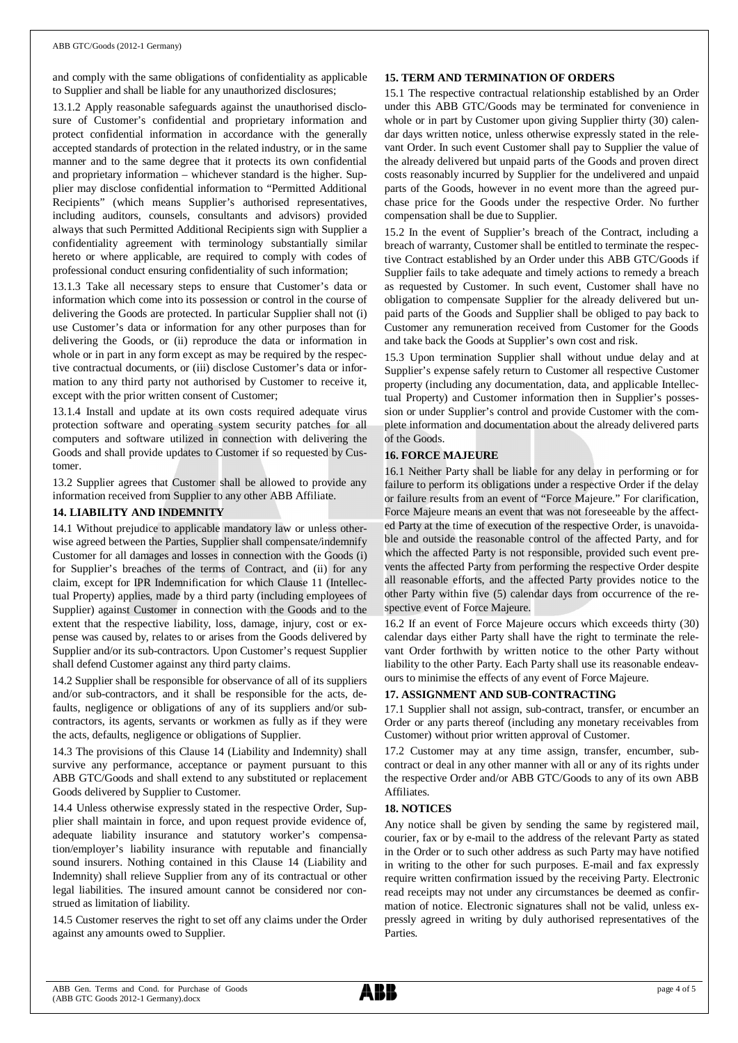and comply with the same obligations of confidentiality as applicable to Supplier and shall be liable for any unauthorized disclosures;

13.1.2 Apply reasonable safeguards against the unauthorised disclosure of Customer's confidential and proprietary information and protect confidential information in accordance with the generally accepted standards of protection in the related industry, or in the same manner and to the same degree that it protects its own confidential and proprietary information – whichever standard is the higher. Supplier may disclose confidential information to "Permitted Additional Recipients" (which means Supplier's authorised representatives, including auditors, counsels, consultants and advisors) provided always that such Permitted Additional Recipients sign with Supplier a confidentiality agreement with terminology substantially similar hereto or where applicable, are required to comply with codes of professional conduct ensuring confidentiality of such information;

13.1.3 Take all necessary steps to ensure that Customer's data or information which come into its possession or control in the course of delivering the Goods are protected. In particular Supplier shall not (i) use Customer's data or information for any other purposes than for delivering the Goods, or (ii) reproduce the data or information in whole or in part in any form except as may be required by the respective contractual documents, or (iii) disclose Customer's data or information to any third party not authorised by Customer to receive it, except with the prior written consent of Customer;

13.1.4 Install and update at its own costs required adequate virus protection software and operating system security patches for all computers and software utilized in connection with delivering the Goods and shall provide updates to Customer if so requested by Customer.

13.2 Supplier agrees that Customer shall be allowed to provide any information received from Supplier to any other ABB Affiliate.

#### **14. LIABILITY AND INDEMNITY**

14.1 Without prejudice to applicable mandatory law or unless otherwise agreed between the Parties, Supplier shall compensate/indemnify Customer for all damages and losses in connection with the Goods (i) for Supplier's breaches of the terms of Contract, and (ii) for any claim, except for IPR Indemnification for which Clause 11 (Intellectual Property) applies, made by a third party (including employees of Supplier) against Customer in connection with the Goods and to the extent that the respective liability, loss, damage, injury, cost or expense was caused by, relates to or arises from the Goods delivered by Supplier and/or its sub-contractors. Upon Customer's request Supplier shall defend Customer against any third party claims.

14.2 Supplier shall be responsible for observance of all of its suppliers and/or sub-contractors, and it shall be responsible for the acts, defaults, negligence or obligations of any of its suppliers and/or subcontractors, its agents, servants or workmen as fully as if they were the acts, defaults, negligence or obligations of Supplier.

14.3 The provisions of this Clause 14 (Liability and Indemnity) shall survive any performance, acceptance or payment pursuant to this ABB GTC/Goods and shall extend to any substituted or replacement Goods delivered by Supplier to Customer.

14.4 Unless otherwise expressly stated in the respective Order, Supplier shall maintain in force, and upon request provide evidence of, adequate liability insurance and statutory worker's compensation/employer's liability insurance with reputable and financially sound insurers. Nothing contained in this Clause 14 (Liability and Indemnity) shall relieve Supplier from any of its contractual or other legal liabilities. The insured amount cannot be considered nor construed as limitation of liability.

14.5 Customer reserves the right to set off any claims under the Order against any amounts owed to Supplier.

#### **15. TERM AND TERMINATION OF ORDERS**

15.1 The respective contractual relationship established by an Order under this ABB GTC/Goods may be terminated for convenience in whole or in part by Customer upon giving Supplier thirty (30) calendar days written notice, unless otherwise expressly stated in the relevant Order. In such event Customer shall pay to Supplier the value of the already delivered but unpaid parts of the Goods and proven direct costs reasonably incurred by Supplier for the undelivered and unpaid parts of the Goods, however in no event more than the agreed purchase price for the Goods under the respective Order. No further compensation shall be due to Supplier.

15.2 In the event of Supplier's breach of the Contract, including a breach of warranty, Customer shall be entitled to terminate the respective Contract established by an Order under this ABB GTC/Goods if Supplier fails to take adequate and timely actions to remedy a breach as requested by Customer. In such event, Customer shall have no obligation to compensate Supplier for the already delivered but unpaid parts of the Goods and Supplier shall be obliged to pay back to Customer any remuneration received from Customer for the Goods and take back the Goods at Supplier's own cost and risk.

15.3 Upon termination Supplier shall without undue delay and at Supplier's expense safely return to Customer all respective Customer property (including any documentation, data, and applicable Intellectual Property) and Customer information then in Supplier's possession or under Supplier's control and provide Customer with the complete information and documentation about the already delivered parts of the Goods.

## **16. FORCE MAJEURE**

16.1 Neither Party shall be liable for any delay in performing or for failure to perform its obligations under a respective Order if the delay or failure results from an event of "Force Majeure." For clarification, Force Majeure means an event that was not foreseeable by the affected Party at the time of execution of the respective Order, is unavoidable and outside the reasonable control of the affected Party, and for which the affected Party is not responsible, provided such event prevents the affected Party from performing the respective Order despite all reasonable efforts, and the affected Party provides notice to the other Party within five (5) calendar days from occurrence of the respective event of Force Majeure.

16.2 If an event of Force Majeure occurs which exceeds thirty (30) calendar days either Party shall have the right to terminate the relevant Order forthwith by written notice to the other Party without liability to the other Party. Each Party shall use its reasonable endeavours to minimise the effects of any event of Force Majeure.

## **17. ASSIGNMENT AND SUB-CONTRACTING**

17.1 Supplier shall not assign, sub-contract, transfer, or encumber an Order or any parts thereof (including any monetary receivables from Customer) without prior written approval of Customer.

17.2 Customer may at any time assign, transfer, encumber, subcontract or deal in any other manner with all or any of its rights under the respective Order and/or ABB GTC/Goods to any of its own ABB Affiliates.

## **18. NOTICES**

Any notice shall be given by sending the same by registered mail, courier, fax or by e-mail to the address of the relevant Party as stated in the Order or to such other address as such Party may have notified in writing to the other for such purposes. E-mail and fax expressly require written confirmation issued by the receiving Party. Electronic read receipts may not under any circumstances be deemed as confirmation of notice. Electronic signatures shall not be valid, unless expressly agreed in writing by duly authorised representatives of the Parties.